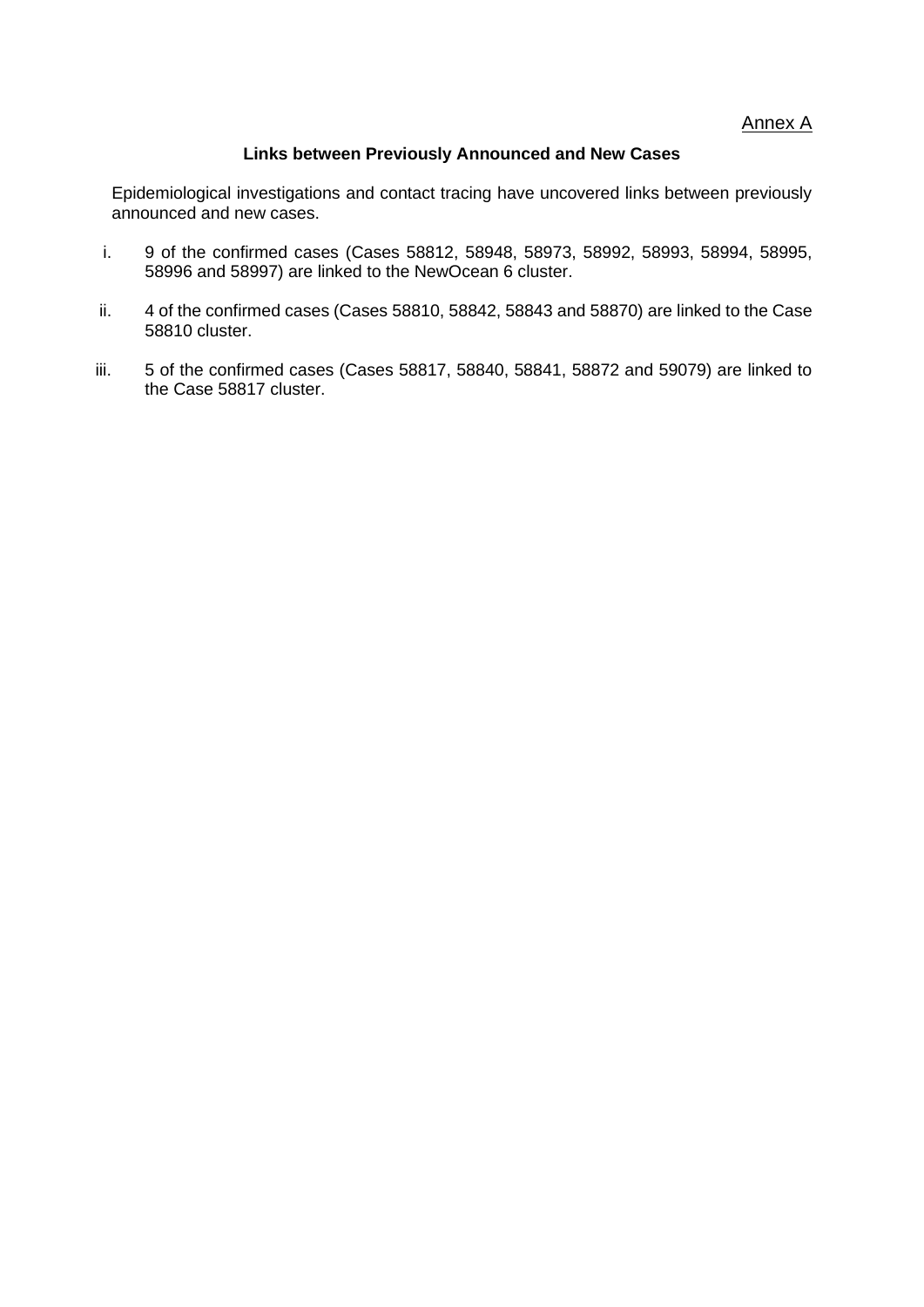Annex A

### **Links between Previously Announced and New Cases**

Epidemiological investigations and contact tracing have uncovered links between previously announced and new cases.

- i. 9 of the confirmed cases (Cases 58812, 58948, 58973, 58992, 58993, 58994, 58995, 58996 and 58997) are linked to the NewOcean 6 cluster.
- ii. 4 of the confirmed cases (Cases 58810, 58842, 58843 and 58870) are linked to the Case 58810 cluster.
- iii. 5 of the confirmed cases (Cases 58817, 58840, 58841, 58872 and 59079) are linked to the Case 58817 cluster.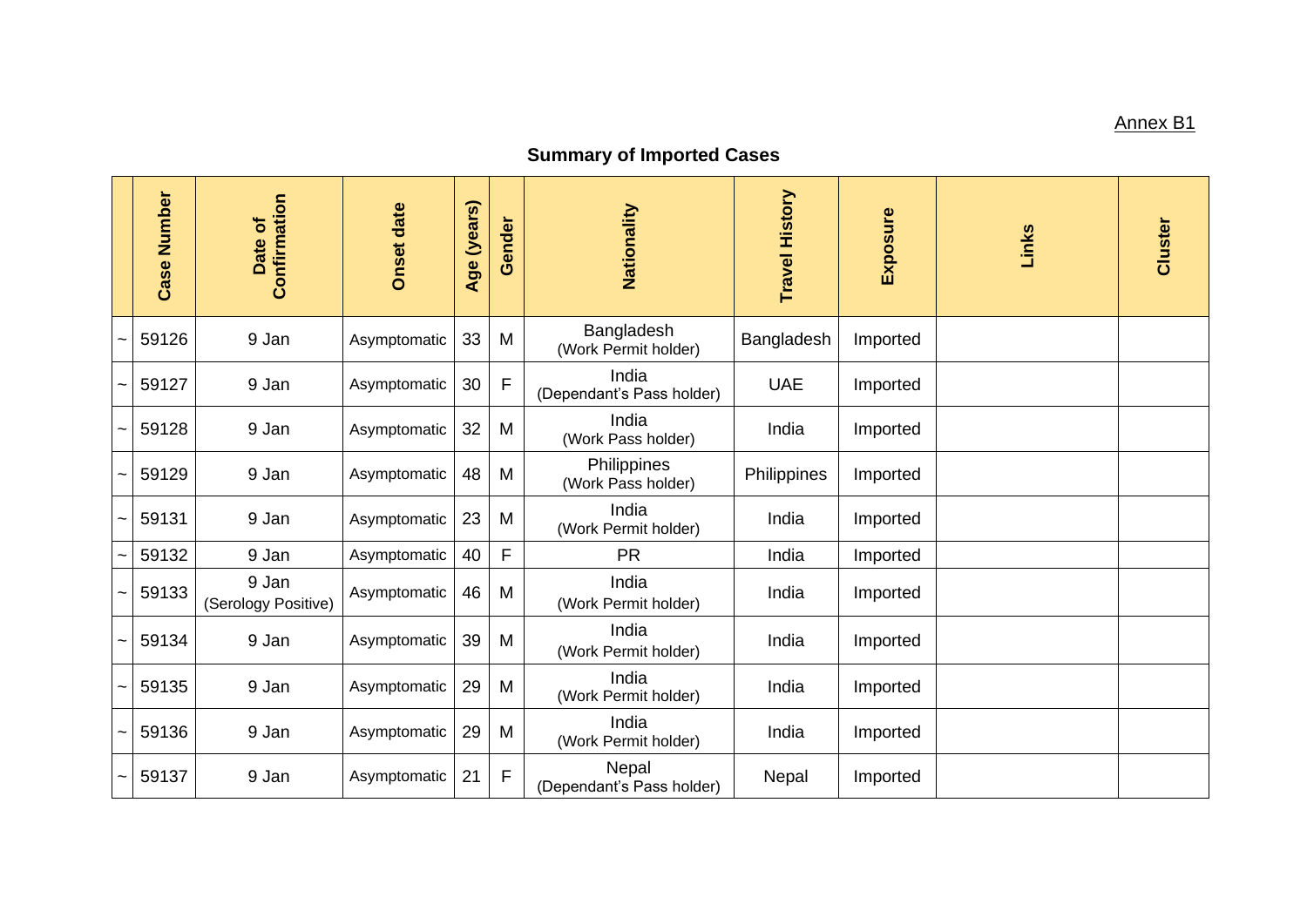### <u>Annex B1</u>

# **Summary of Imported Cases**

|                       | <b>Case Number</b> | Confirmation<br>Date of      | <b>Onset date</b> | (years)<br>Age | Gender      | Nationality                        | <b>Travel History</b> | <b>Exposure</b> | Links | Cluster |
|-----------------------|--------------------|------------------------------|-------------------|----------------|-------------|------------------------------------|-----------------------|-----------------|-------|---------|
|                       | 59126              | 9 Jan                        | Asymptomatic      | 33             | M           | Bangladesh<br>(Work Permit holder) | Bangladesh            | Imported        |       |         |
| $\tilde{\phantom{a}}$ | 59127              | 9 Jan                        | Asymptomatic      | 30             | $\mathsf F$ | India<br>(Dependant's Pass holder) | <b>UAE</b>            | Imported        |       |         |
| $\tilde{\phantom{a}}$ | 59128              | 9 Jan                        | Asymptomatic      | 32             | M           | India<br>(Work Pass holder)        | India                 | Imported        |       |         |
|                       | 59129              | 9 Jan                        | Asymptomatic      | 48             | M           | Philippines<br>(Work Pass holder)  | Philippines           | Imported        |       |         |
| $\tilde{\phantom{a}}$ | 59131              | 9 Jan                        | Asymptomatic      | 23             | M           | India<br>(Work Permit holder)      | India                 | Imported        |       |         |
| $\tilde{}$            | 59132              | 9 Jan                        | Asymptomatic      | 40             | F           | <b>PR</b>                          | India                 | Imported        |       |         |
| $\tilde{}$            | 59133              | 9 Jan<br>(Serology Positive) | Asymptomatic      | 46             | M           | India<br>(Work Permit holder)      | India                 | Imported        |       |         |
| $\tilde{\phantom{a}}$ | 59134              | 9 Jan                        | Asymptomatic      | 39             | M           | India<br>(Work Permit holder)      | India                 | Imported        |       |         |
| $\tilde{\phantom{a}}$ | 59135              | 9 Jan                        | Asymptomatic      | 29             | M           | India<br>(Work Permit holder)      | India                 | Imported        |       |         |
| $\tilde{\phantom{a}}$ | 59136              | 9 Jan                        | Asymptomatic      | 29             | M           | India<br>(Work Permit holder)      | India                 | Imported        |       |         |
| $\tilde{\phantom{a}}$ | 59137              | 9 Jan                        | Asymptomatic      | 21             | F           | Nepal<br>(Dependant's Pass holder) | Nepal                 | Imported        |       |         |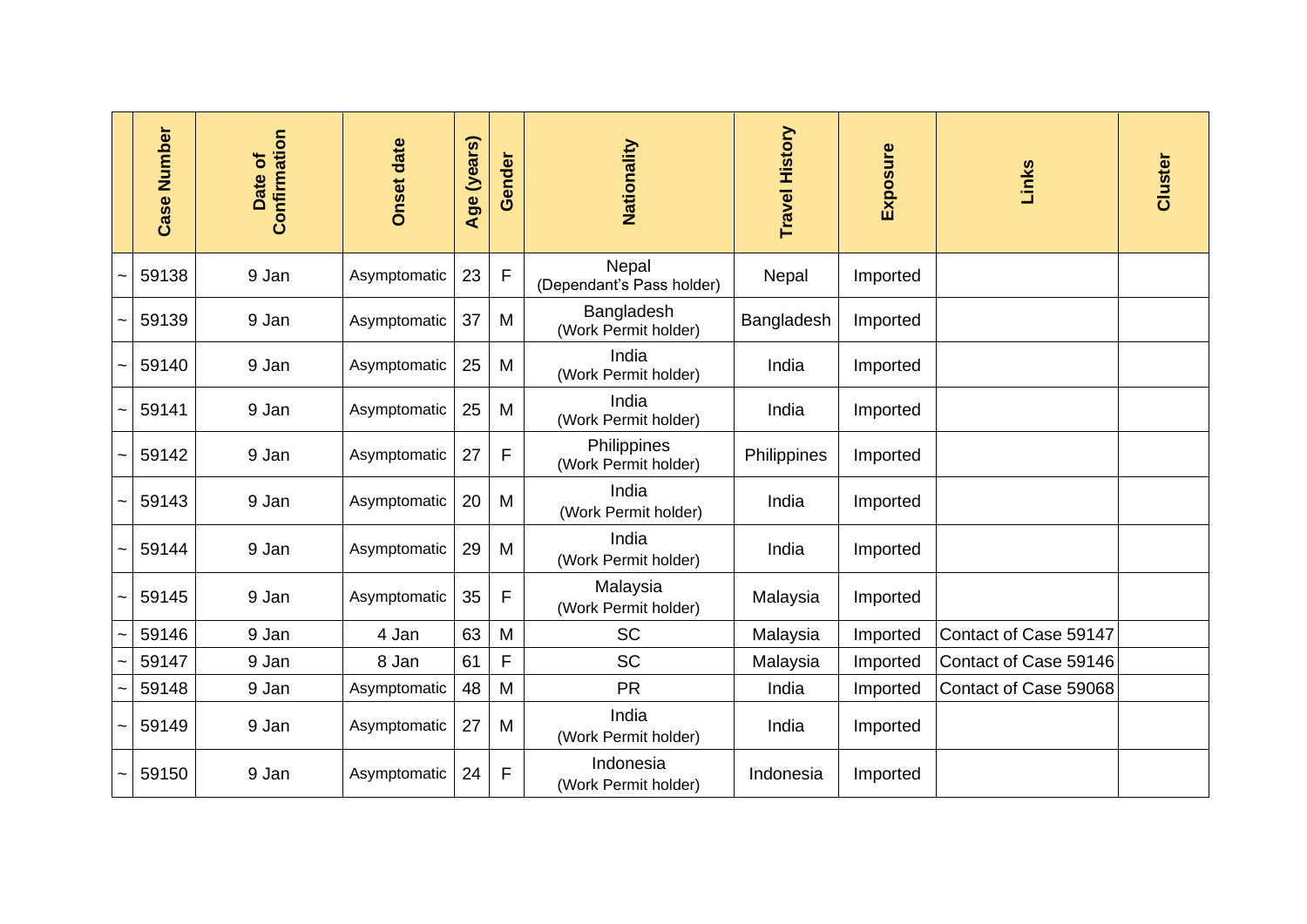| <b>Number</b><br>Case | Confirmation<br>Date of | <b>Onset date</b> | (years)<br>Age | Gender      | Nationality                         | <b>Travel History</b> | Exposure | Links                 | Cluster |
|-----------------------|-------------------------|-------------------|----------------|-------------|-------------------------------------|-----------------------|----------|-----------------------|---------|
| 59138                 | 9 Jan                   | Asymptomatic      | 23             | $\mathsf F$ | Nepal<br>(Dependant's Pass holder)  | Nepal                 | Imported |                       |         |
| 59139                 | 9 Jan                   | Asymptomatic      | 37             | M           | Bangladesh<br>(Work Permit holder)  | Bangladesh            | Imported |                       |         |
| 59140                 | 9 Jan                   | Asymptomatic      | 25             | M           | India<br>(Work Permit holder)       | India                 | Imported |                       |         |
| 59141                 | 9 Jan                   | Asymptomatic      | 25             | M           | India<br>(Work Permit holder)       | India                 | Imported |                       |         |
| 59142                 | 9 Jan                   | Asymptomatic      | 27             | F           | Philippines<br>(Work Permit holder) | Philippines           | Imported |                       |         |
| 59143                 | 9 Jan                   | Asymptomatic      | 20             | M           | India<br>(Work Permit holder)       | India                 | Imported |                       |         |
| 59144                 | 9 Jan                   | Asymptomatic      | 29             | M           | India<br>(Work Permit holder)       | India                 | Imported |                       |         |
| 59145                 | 9 Jan                   | Asymptomatic      | 35             | $\mathsf F$ | Malaysia<br>(Work Permit holder)    | Malaysia              | Imported |                       |         |
| 59146                 | 9 Jan                   | 4 Jan             | 63             | M           | <b>SC</b>                           | Malaysia              | Imported | Contact of Case 59147 |         |
| 59147                 | 9 Jan                   | 8 Jan             | 61             | F           | <b>SC</b>                           | Malaysia              | Imported | Contact of Case 59146 |         |
| 59148                 | 9 Jan                   | Asymptomatic      | 48             | M           | <b>PR</b>                           | India                 | Imported | Contact of Case 59068 |         |
| 59149                 | 9 Jan                   | Asymptomatic      | 27             | M           | India<br>(Work Permit holder)       | India                 | Imported |                       |         |
| 59150                 | 9 Jan                   | Asymptomatic      | 24             | F           | Indonesia<br>(Work Permit holder)   | Indonesia             | Imported |                       |         |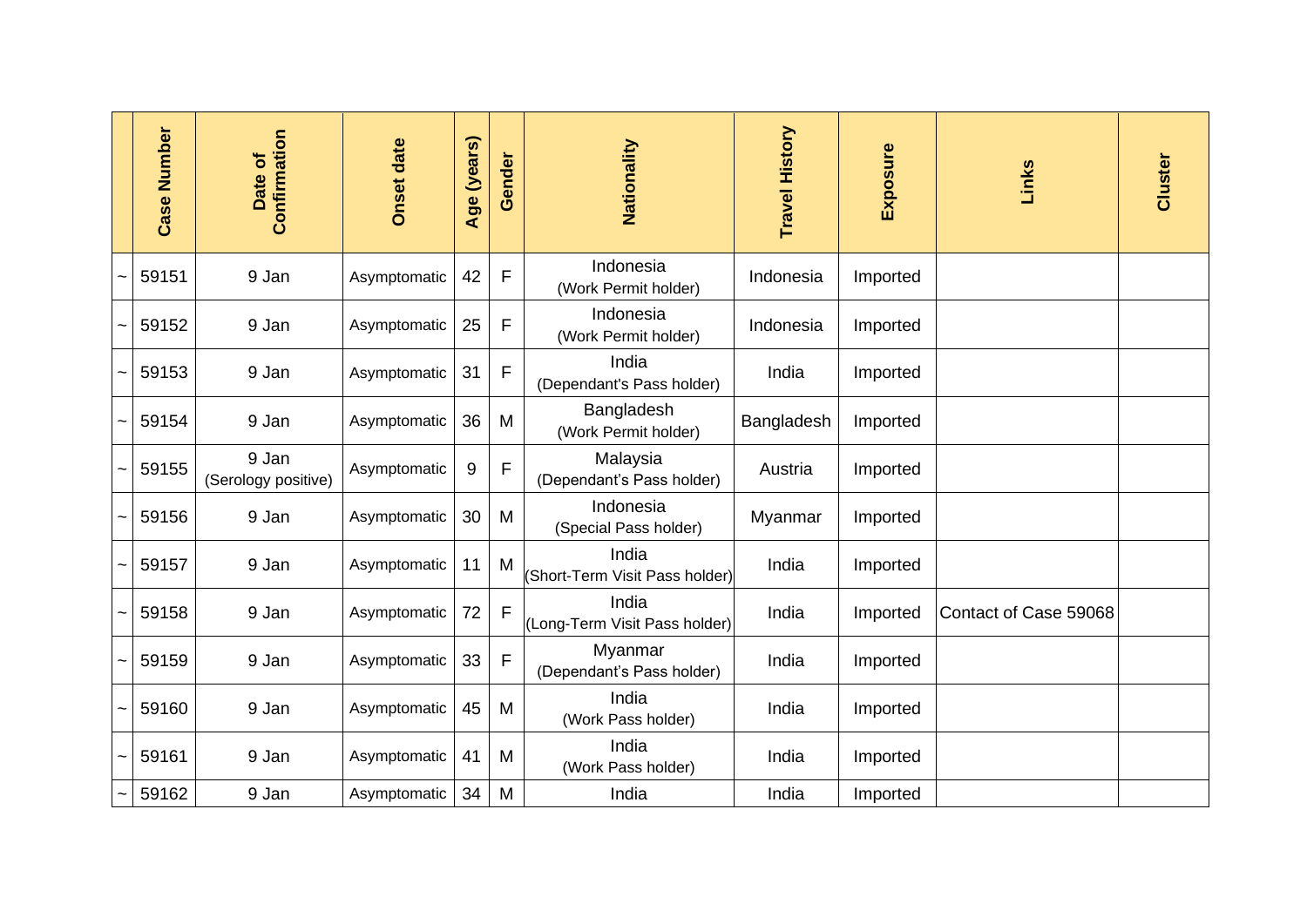| Number<br>Case | Confirmation<br>Date of      | <b>Onset date</b> | (years)<br>Age | Gender      | Nationality                             | Travel History | Exposure | Links                 | Cluster |
|----------------|------------------------------|-------------------|----------------|-------------|-----------------------------------------|----------------|----------|-----------------------|---------|
| 59151          | 9 Jan                        | Asymptomatic      | 42             | F           | Indonesia<br>(Work Permit holder)       | Indonesia      | Imported |                       |         |
| 59152          | 9 Jan                        | Asymptomatic      | 25             | F           | Indonesia<br>(Work Permit holder)       | Indonesia      | Imported |                       |         |
| 59153          | 9 Jan                        | Asymptomatic      | 31             | F           | India<br>(Dependant's Pass holder)      | India          | Imported |                       |         |
| 59154          | 9 Jan                        | Asymptomatic      | 36             | M           | Bangladesh<br>(Work Permit holder)      | Bangladesh     | Imported |                       |         |
| 59155          | 9 Jan<br>(Serology positive) | Asymptomatic      | 9              | F           | Malaysia<br>(Dependant's Pass holder)   | Austria        | Imported |                       |         |
| 59156          | 9 Jan                        | Asymptomatic      | 30             | M           | Indonesia<br>(Special Pass holder)      | Myanmar        | Imported |                       |         |
| 59157          | 9 Jan                        | Asymptomatic      | 11             | M           | India<br>(Short-Term Visit Pass holder) | India          | Imported |                       |         |
| 59158          | 9 Jan                        | Asymptomatic      | 72             | F           | India<br>(Long-Term Visit Pass holder)  | India          | Imported | Contact of Case 59068 |         |
| 59159          | 9 Jan                        | Asymptomatic      | 33             | $\mathsf F$ | Myanmar<br>(Dependant's Pass holder)    | India          | Imported |                       |         |
| 59160          | 9 Jan                        | Asymptomatic      | 45             | M           | India<br>(Work Pass holder)             | India          | Imported |                       |         |
| 59161          | 9 Jan                        | Asymptomatic      | 41             | M           | India<br>(Work Pass holder)             | India          | Imported |                       |         |
| 59162          | 9 Jan                        | Asymptomatic      | 34             | M           | India                                   | India          | Imported |                       |         |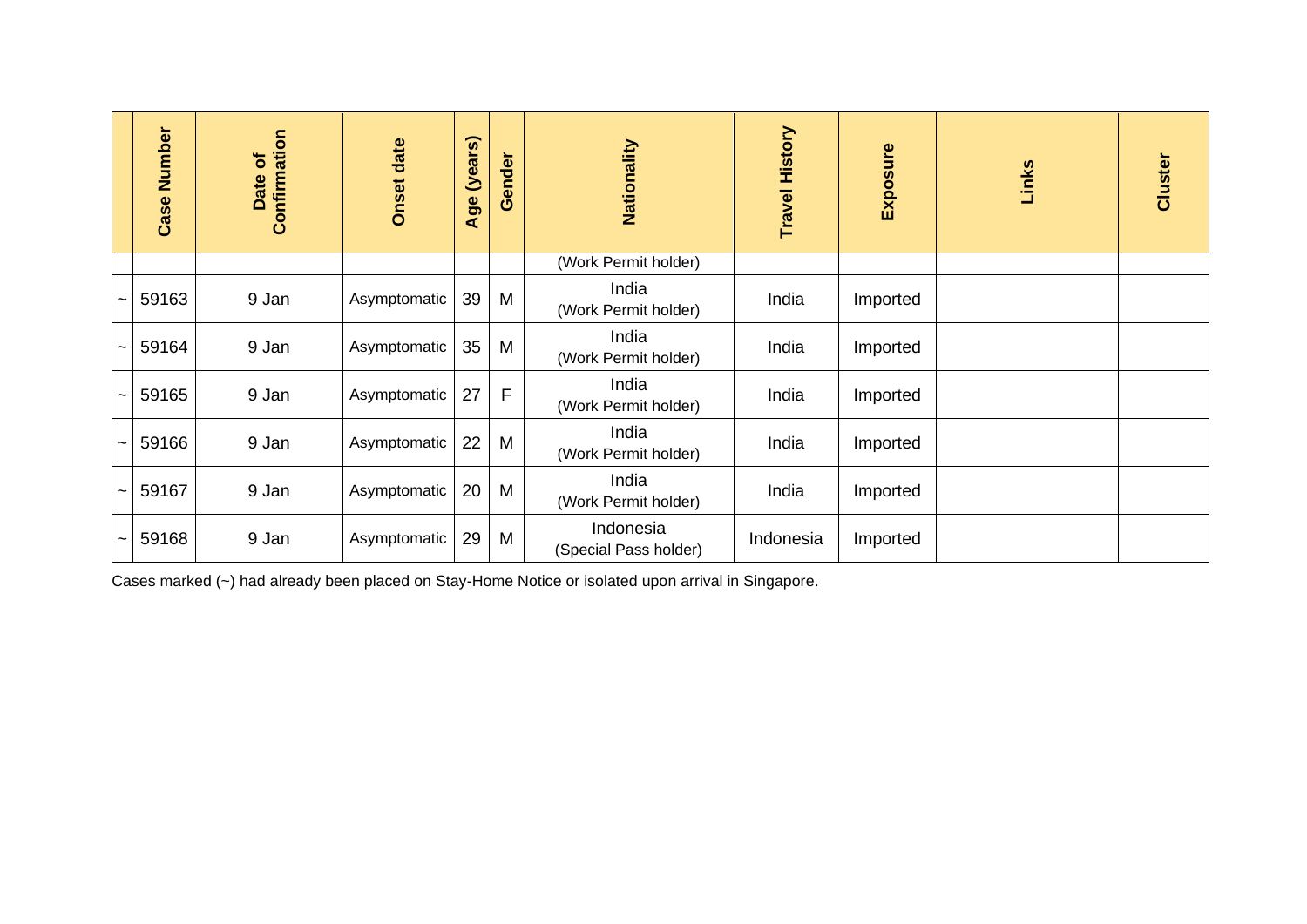| Number<br>Case | Confirmation<br>Date of | <b>Onset date</b> | (years)<br>Age | Gender | Nationality                        | <b>Travel History</b> | Exposure | Links | Cluster |
|----------------|-------------------------|-------------------|----------------|--------|------------------------------------|-----------------------|----------|-------|---------|
|                |                         |                   |                |        | (Work Permit holder)               |                       |          |       |         |
| 59163          | 9 Jan                   | Asymptomatic      | 39             | M      | India<br>(Work Permit holder)      | India                 | Imported |       |         |
| 59164          | 9 Jan                   | Asymptomatic      | 35             | M      | India<br>(Work Permit holder)      | India                 | Imported |       |         |
| 59165          | 9 Jan                   | Asymptomatic      | 27             | F      | India<br>(Work Permit holder)      | India                 | Imported |       |         |
| 59166          | 9 Jan                   | Asymptomatic      | 22             | M      | India<br>(Work Permit holder)      | India                 | Imported |       |         |
| 59167          | 9 Jan                   | Asymptomatic      | 20             | M      | India<br>(Work Permit holder)      | India                 | Imported |       |         |
| 59168          | 9 Jan                   | Asymptomatic      | 29             | M      | Indonesia<br>(Special Pass holder) | Indonesia             | Imported |       |         |

Cases marked (~) had already been placed on Stay-Home Notice or isolated upon arrival in Singapore.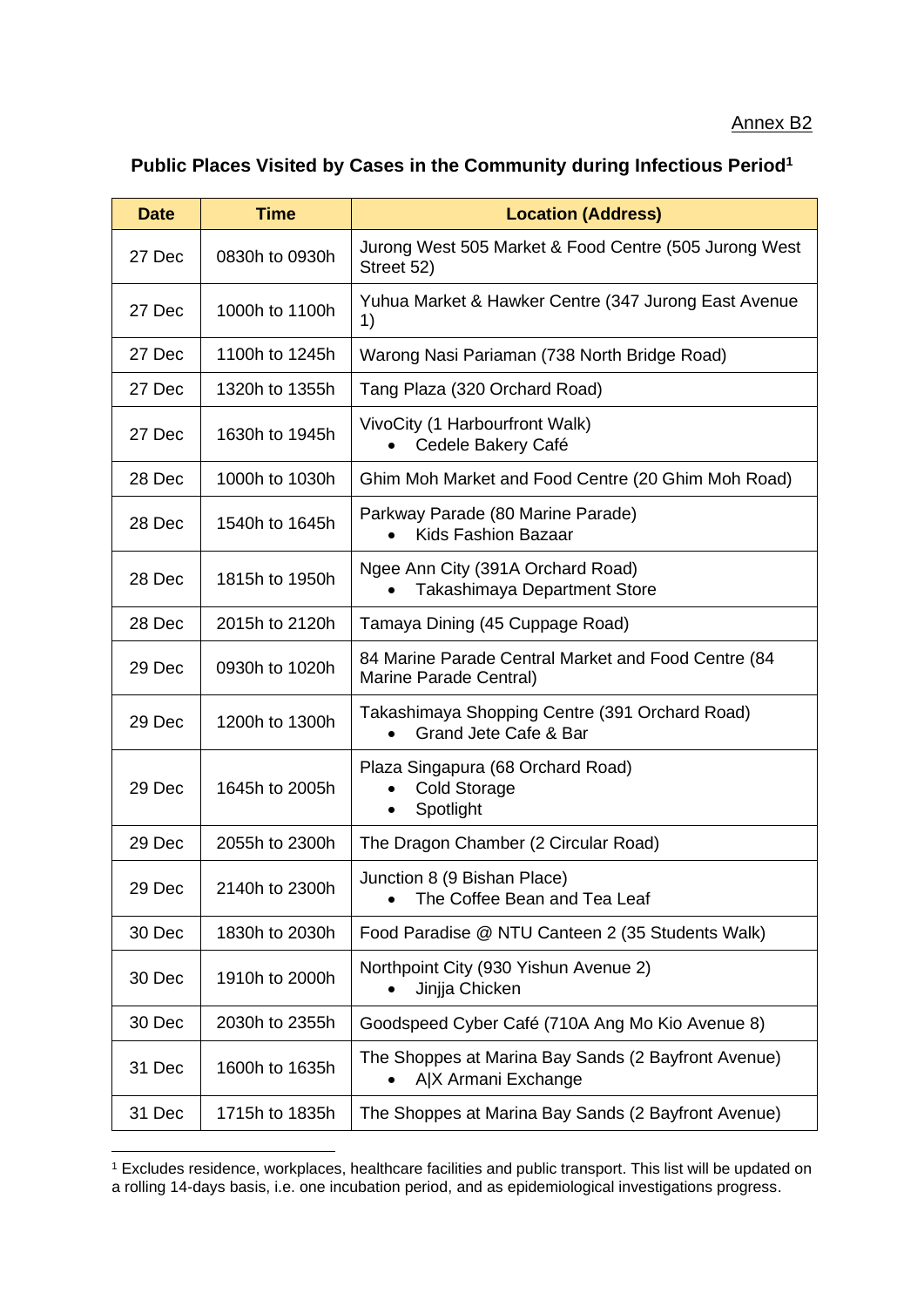### Annex B2

## **Public Places Visited by Cases in the Community during Infectious Period<sup>1</sup>**

| <b>Date</b> | <b>Time</b>    | <b>Location (Address)</b>                                                             |
|-------------|----------------|---------------------------------------------------------------------------------------|
| 27 Dec      | 0830h to 0930h | Jurong West 505 Market & Food Centre (505 Jurong West<br>Street 52)                   |
| 27 Dec      | 1000h to 1100h | Yuhua Market & Hawker Centre (347 Jurong East Avenue<br>1)                            |
| 27 Dec      | 1100h to 1245h | Warong Nasi Pariaman (738 North Bridge Road)                                          |
| 27 Dec      | 1320h to 1355h | Tang Plaza (320 Orchard Road)                                                         |
| 27 Dec      | 1630h to 1945h | VivoCity (1 Harbourfront Walk)<br>Cedele Bakery Café                                  |
| 28 Dec      | 1000h to 1030h | Ghim Moh Market and Food Centre (20 Ghim Moh Road)                                    |
| 28 Dec      | 1540h to 1645h | Parkway Parade (80 Marine Parade)<br><b>Kids Fashion Bazaar</b><br>$\bullet$          |
| 28 Dec      | 1815h to 1950h | Ngee Ann City (391A Orchard Road)<br><b>Takashimaya Department Store</b><br>$\bullet$ |
| 28 Dec      | 2015h to 2120h | Tamaya Dining (45 Cuppage Road)                                                       |
| 29 Dec      | 0930h to 1020h | 84 Marine Parade Central Market and Food Centre (84<br>Marine Parade Central)         |
| 29 Dec      | 1200h to 1300h | Takashimaya Shopping Centre (391 Orchard Road)<br>Grand Jete Cafe & Bar<br>$\bullet$  |
| 29 Dec      | 1645h to 2005h | Plaza Singapura (68 Orchard Road)<br><b>Cold Storage</b><br>Spotlight<br>٠            |
| 29 Dec      | 2055h to 2300h | The Dragon Chamber (2 Circular Road)                                                  |
| 29 Dec      | 2140h to 2300h | Junction 8 (9 Bishan Place)<br>The Coffee Bean and Tea Leaf                           |
| 30 Dec      | 1830h to 2030h | Food Paradise @ NTU Canteen 2 (35 Students Walk)                                      |
| 30 Dec      | 1910h to 2000h | Northpoint City (930 Yishun Avenue 2)<br>Jinjja Chicken                               |
| 30 Dec      | 2030h to 2355h | Goodspeed Cyber Café (710A Ang Mo Kio Avenue 8)                                       |
| 31 Dec      | 1600h to 1635h | The Shoppes at Marina Bay Sands (2 Bayfront Avenue)<br>A X Armani Exchange            |
| 31 Dec      | 1715h to 1835h | The Shoppes at Marina Bay Sands (2 Bayfront Avenue)                                   |

<sup>1</sup> Excludes residence, workplaces, healthcare facilities and public transport. This list will be updated on a rolling 14-days basis, i.e. one incubation period, and as epidemiological investigations progress.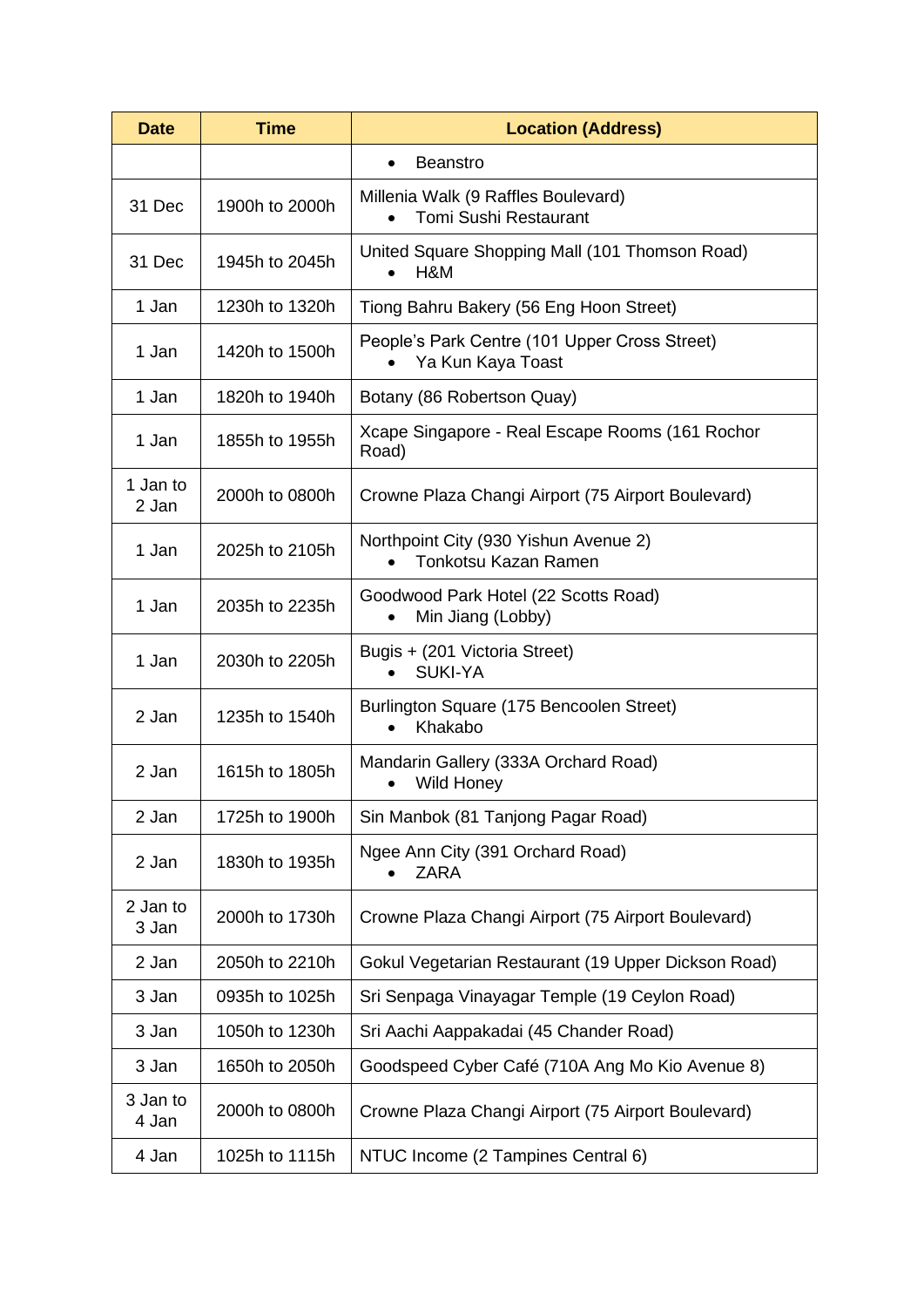| <b>Time</b><br><b>Date</b> |                | <b>Location (Address)</b>                                                  |  |  |  |  |
|----------------------------|----------------|----------------------------------------------------------------------------|--|--|--|--|
|                            |                | <b>Beanstro</b>                                                            |  |  |  |  |
| 31 Dec                     | 1900h to 2000h | Millenia Walk (9 Raffles Boulevard)<br><b>Tomi Sushi Restaurant</b>        |  |  |  |  |
| 31 Dec                     | 1945h to 2045h | United Square Shopping Mall (101 Thomson Road)<br>H&M                      |  |  |  |  |
| 1 Jan                      | 1230h to 1320h | Tiong Bahru Bakery (56 Eng Hoon Street)                                    |  |  |  |  |
| 1 Jan                      | 1420h to 1500h | People's Park Centre (101 Upper Cross Street)<br>Ya Kun Kaya Toast         |  |  |  |  |
| 1 Jan                      | 1820h to 1940h | Botany (86 Robertson Quay)                                                 |  |  |  |  |
| 1 Jan                      | 1855h to 1955h | Xcape Singapore - Real Escape Rooms (161 Rochor<br>Road)                   |  |  |  |  |
| 1 Jan to<br>2 Jan          | 2000h to 0800h | Crowne Plaza Changi Airport (75 Airport Boulevard)                         |  |  |  |  |
| 1 Jan                      | 2025h to 2105h | Northpoint City (930 Yishun Avenue 2)<br>Tonkotsu Kazan Ramen<br>$\bullet$ |  |  |  |  |
| 1 Jan                      | 2035h to 2235h | Goodwood Park Hotel (22 Scotts Road)<br>Min Jiang (Lobby)<br>$\bullet$     |  |  |  |  |
| 1 Jan                      | 2030h to 2205h | Bugis + (201 Victoria Street)<br><b>SUKI-YA</b>                            |  |  |  |  |
| 2 Jan                      | 1235h to 1540h | Burlington Square (175 Bencoolen Street)<br>Khakabo<br>$\bullet$           |  |  |  |  |
| 2 Jan                      | 1615h to 1805h | Mandarin Gallery (333A Orchard Road)<br>Wild Honey                         |  |  |  |  |
| 2 Jan                      | 1725h to 1900h | Sin Manbok (81 Tanjong Pagar Road)                                         |  |  |  |  |
| 2 Jan                      | 1830h to 1935h | Ngee Ann City (391 Orchard Road)<br>ZARA                                   |  |  |  |  |
| 2 Jan to<br>3 Jan          | 2000h to 1730h | Crowne Plaza Changi Airport (75 Airport Boulevard)                         |  |  |  |  |
| 2 Jan                      | 2050h to 2210h | Gokul Vegetarian Restaurant (19 Upper Dickson Road)                        |  |  |  |  |
| 3 Jan                      | 0935h to 1025h | Sri Senpaga Vinayagar Temple (19 Ceylon Road)                              |  |  |  |  |
| 3 Jan                      | 1050h to 1230h | Sri Aachi Aappakadai (45 Chander Road)                                     |  |  |  |  |
| 3 Jan                      | 1650h to 2050h | Goodspeed Cyber Café (710A Ang Mo Kio Avenue 8)                            |  |  |  |  |
| 3 Jan to<br>4 Jan          | 2000h to 0800h | Crowne Plaza Changi Airport (75 Airport Boulevard)                         |  |  |  |  |
| 4 Jan                      | 1025h to 1115h | NTUC Income (2 Tampines Central 6)                                         |  |  |  |  |